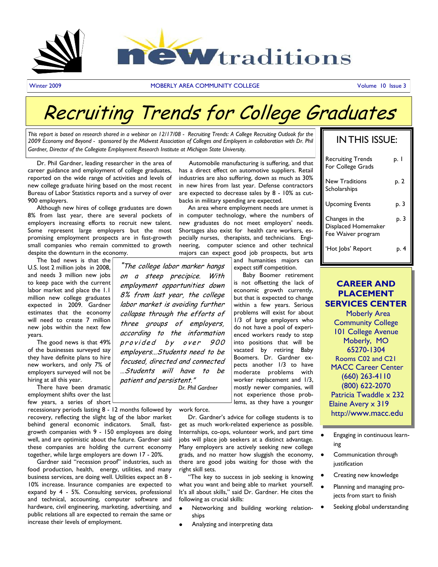

Winter 2009 **MOBERLY AREA COMMUNITY COLLEGE COMMUNITY COLLEGE** Volume 10 Issue 3

# Recruiting Trends for College Graduates

*This report is based on research shared in a webinar on 12/17/08 - Recruiting Trends: A College Recruiting Outlook for the 2009 Economy and Beyond - sponsored by the Midwest Association of Colleges and Employers in collaboration with Dr. Phil Gardner, Director of the Collegiate Employment Research Institute at Michigan State University.*

 Dr. Phil Gardner, leading researcher in the area of career guidance and employment of college graduates, reported on the wide range of activities and levels of new college graduate hiring based on the most recent Bureau of Labor Statistics reports and a survey of over 900 employers.

 Although new hires of college graduates are down 8% from last year, there are several pockets of employers increasing efforts to recruit new talent. Some represent large employers but the most promising employment prospects are in fast-growth small companies who remain committed to growth

despite the downturn in the economy. The bad news is that the U.S. lost 2 million jobs in 2008,

and needs 3 million new jobs to keep pace with the current labor market and place the 1.1 million new college graduates expected in 2009. Gardner estimates that the economy will need to create 7 million new jobs within the next few years.

 The good news is that 49% of the businesses surveyed say they have definite plans to hire new workers, and only 7% of employers surveyed will not be hiring at all this year.

 There have been dramatic employment shifts over the last few years, a series of short

recessionary periods lasting 8 - 12 months followed by recovery, reflecting the slight lag of the labor market behind general economic indicators. Small, fastgrowth companies with 9 - 150 employees are doing well, and are optimistic about the future. Gardner said these companies are holding the current economy together, while large employers are down 17 - 20%.

 Gardner said "recession proof" industries, such as food production, health, energy, utilities, and many business services, are doing well. Utilities expect an 8 - 10% increase. Insurance companies are expected to expand by 4 - 5%. Consulting services, professional and technical, accounting, computer software and hardware, civil engineering, marketing, advertising, and public relations all are expected to remain the same or increase their levels of employment.

 Automobile manufacturing is suffering, and that has a direct effect on automotive suppliers. Retail industries are also suffering, down as much as 30% in new hires from last year. Defense contractors are expected to decrease sales by 8 - 10% as cutbacks in military spending are expected.

 An area where employment needs are unmet is in computer technology, where the numbers of new graduates do not meet employers' needs. Shortages also exist for health care workers, especially nurses, therapists, and technicians. Engineering, computer science and other technical majors can expect good job prospects, but arts

"The college labor marker hangs on a steep precipice. With employment opportunities down 8% from last year, the college labor market is avoiding further collapse through the efforts of three groups of employers, according to the information

and humanities majors can expect stiff competition.

 Baby Boomer retirement is not offsetting the lack of economic growth currently, but that is expected to change within a few years. Serious problems will exist for about 1/3 of large employers who do not have a pool of experienced workers ready to step into positions that will be vacated by retiring Baby Boomers. Dr. Gardner expects another 1/3 to have moderate problems with worker replacement and 1/3, mostly newer companies, will not experience those problems, as they have a younger

| <b>IN THIS ISSUE:</b>                                       |      |
|-------------------------------------------------------------|------|
| <b>Recruiting Trends</b><br>For College Grads               | p. I |
| <b>New Traditions</b><br>Scholarships                       | p. 2 |
| <b>Upcoming Events</b>                                      | p. 3 |
| Changes in the<br>Displaced Homemaker<br>Fee Waiver program | p. 3 |
| 'Hot Jobs' Report                                           | p. 4 |

### **CAREER AND PLACEMENT SERVICES CENTER** Moberly Area

Community College 101 College Avenue Moberly, MO 65270-1304 Rooms C02 and C21 MACC Career Center (660) 263-4110 (800) 622-2070 Patricia Twaddle x 232 Elaine Avery x 319 http://www.macc.edu

work force.

 *Dr. Phil Gardner*

provided by over 900 employers...Students need to be focused, directed and connected …Students will have to be

patient and persistent."

Dr. Gardner's advice for college students is to get as much work-related experience as possible. Internships, co-ops, volunteer work, and part time jobs will place job seekers at a distinct advantage. Many employers are actively seeking new college grads, and no matter how sluggish the economy, there are good jobs waiting for those with the right skill sets.

 "The key to success in job seeking is knowing what you want and being able to market yourself. It's all about skills," said Dr. Gardner. He cites the following as crucial skills:

- Networking and building working relationships
- Analyzing and interpreting data

Engaging in continuous learning

- Communication through iustification
- Creating new knowledge
- Planning and managing projects from start to finish
- Seeking global understanding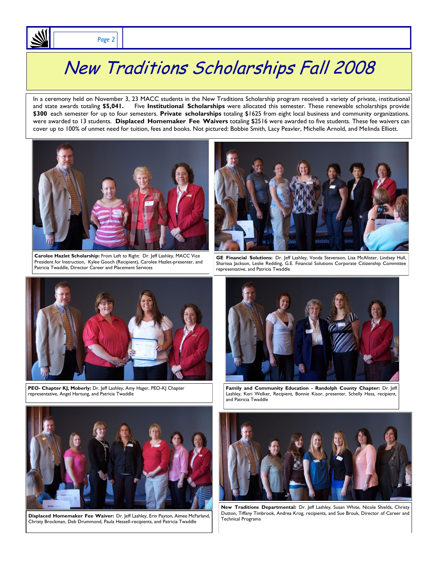# New Traditions Scholarships Fall 2008

In a ceremony held on November 3, 23 MACC students in the New Traditions Scholarship program received a variety of private, institutional and state awards totaling **\$5,041.** Five **Institutional Scholarships** were allocated this semester. These renewable scholarships provide **\$300** each semester for up to four semesters. **Private scholarships** totaling \$1625 from eight local business and community organizations. were awarded to 13 students. **Displaced Homemaker Fee Waivers** totaling \$2516 were awarded to five students. These fee waivers can cover up to 100% of unmet need for tuition, fees and books. Not pictured: Bobbie Smith, Lacy Peavler, Michelle Arnold, and Melinda Elliott.



**Carolee Hazlet Scholarship:** From Left to Right: Dr. Jeff Lashley, MACC Vice President for Instruction, Kylee Gooch (Recipient), Carolee Hazlet-presenter, and Patricia Twaddle, Director Career and Placement Services







**PEO- Chapter KJ, Moberly:** Dr. Jeff Lashley, Amy Hager, PEO-KJ Chapter representative, Angel Hartung, and Patricia Twaddle



**Family and Community Education - Randolph County Chapter:** Dr. Jeff Lashley, Keri Welker, Recipient, Bonnie Kisor, presenter, Schelly Hess, recipient, and Patricia Twaddle



**Displaced Homemaker Fee Waiver:** Dr. Jeff Lashley, Erin Payton, Aimee McFarland, Christy Brockman, Deb Drummond, Paula Hessell-recipients, and Patricia Twaddle



**New Traditions Departmental:** Dr. Jeff Lashley, Susan White, Nicole Shields, Christy Dutton, Tiffany Timbrook, Andrea Krog, recipients, and Sue Brouk, Director of Career and Technical Programs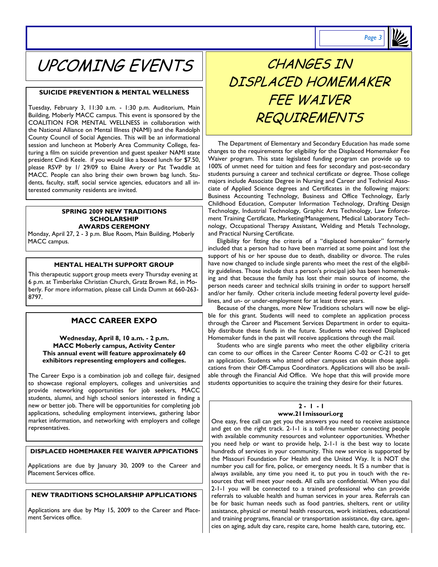

### UPCOMING EVENTS

#### **SUICIDE PREVENTION & MENTAL WELLNESS**

Tuesday, February 3, 11:30 a.m. - 1:30 p.m. Auditorium, Main Building, Moberly MACC campus. This event is sponsored by the COALITION FOR MENTAL WELLNESS in collaboration with the National Alliance on Mental Illness (NAMI) and the Randolph County Council of Social Agencies. This will be an informational session and luncheon at Moberly Area Community College, featuring a film on suicide prevention and guest speaker NAMI state president Cindi Keele. if you would like a boxed lunch for \$7.50, please RSVP by 1/ 29/09 to Elaine Avery or Pat Twaddle at MACC. People can also bring their own brown bag lunch. Students, faculty, staff, social service agencies, educators and all interested community residents are invited.

#### **SPRING 2009 NEW TRADITIONS SCHOLARSHIP AWARDS CEREMONY**

Monday, April 27, 2 - 3 p.m. Blue Room, Main Building, Moberly MACC campus.

#### **MENTAL HEALTH SUPPORT GROUP**

This therapeutic support group meets every Thursday evening at 6 p.m. at Timberlake Christian Church, Gratz Brown Rd., in Moberly. For more information, please call Linda Dumm at 660-263- 8797.

### **MACC CAREER EXPO**

**Wednesday, April 8, 10 a.m. - 2 p.m. MACC Moberly campus, Activity Center This annual event will feature approximately 60 exhibitors representing employers and colleges.** 

The Career Expo is a combination job and college fair, designed to showcase regional employers, colleges and universities and provide networking opportunities for job seekers, MACC students, alumni, and high school seniors interested in finding a new or better job. There will be opportunities for completing job applications, scheduling employment interviews, gathering labor market information, and networking with employers and college representatives.

#### **DISPLACED HOMEMAKER FEE WAIVER APPICATIONS**

Applications are due by January 30, 2009 to the Career and Placement Services office.

#### **NEW TRADITIONS SCHOLARSHIP APPLICATIONS**

Applications are due by May 15, 2009 to the Career and Placement Services office.

### CHANGES IN DISPLACED HOMEMAKER FFF WAIVFR **REQUIREMENTS**

 The Department of Elementary and Secondary Education has made some changes to the requirements for eligibility for the Displaced Homemaker Fee Waiver program. This state legislated funding program can provide up to 100% of unmet need for tuition and fees for secondary and post-secondary students pursuing a career and technical certificate or degree. Those college majors include Associate Degree in Nursing and Career and Technical Associate of Applied Science degrees and Certificates in the following majors: Business Accounting Technology, Business and Office Technology, Early Childhood Education, Computer Information Technology, Drafting Design Technology, Industrial Technology, Graphic Arts Technology, Law Enforcement Training Certificate, Marketing/Management, Medical Laboratory Technology, Occupational Therapy Assistant, Welding and Metals Technology, and Practical Nursing Certificate.

 Eligibility for fitting the criteria of a "displaced homemaker" formerly included that a person had to have been married at some point and lost the support of his or her spouse due to death, disability or divorce. The rules have now changed to include single parents who meet the rest of the eligibility guidelines. Those include that a person's principal job has been homemaking and that because the family has lost their main source of income, the person needs career and technical skills training in order to support herself and/or her family. Other criteria include meeting federal poverty level guidelines, and un- or under-employment for at least three years.

 Because of the changes, more New Traditions scholars will now be eligible for this grant. Students will need to complete an application process through the Career and Placement Services Department in order to equitably distribute these funds in the future. Students who received Displaced Homemaker funds in the past will receive applications through the mail.

 Students who are single parents who meet the other eligibility criteria can come to our offices in the Career Center Rooms C-02 or C-21 to get an application. Students who attend other campuses can obtain those applications from their Off-Campus Coordinators. Applications will also be available through the Financial Aid Office. We hope that this will provide more students opportunities to acquire the training they desire for their futures.

#### **2 - 1 - 1 www.211missouri.org**

One easy, free call can get you the answers you need to receive assistance and get on the right track. 2-1-1 is a toll-free number connecting people with available community resources and volunteer opportunities. Whether you need help or want to provide help, 2-1-1 is the best way to locate hundreds of services in your community. This new service is supported by the Missouri Foundation For Health and the United Way. It is NOT the number you call for fire, police, or emergency needs. It IS a number that is always available, any time you need it, to put you in touch with the resources that will meet your needs. All calls are confidential. When you dial 2-1-1 you will be connected to a trained professional who can provide referrals to valuable health and human services in your area. Referrals can be for basic human needs such as food pantries, shelters, rent or utility assistance, physical or mental health resources, work initiatives, educational and training programs, financial or transportation assistance, day care, agencies on aging, adult day care, respite care, home health care, tutoring, etc.